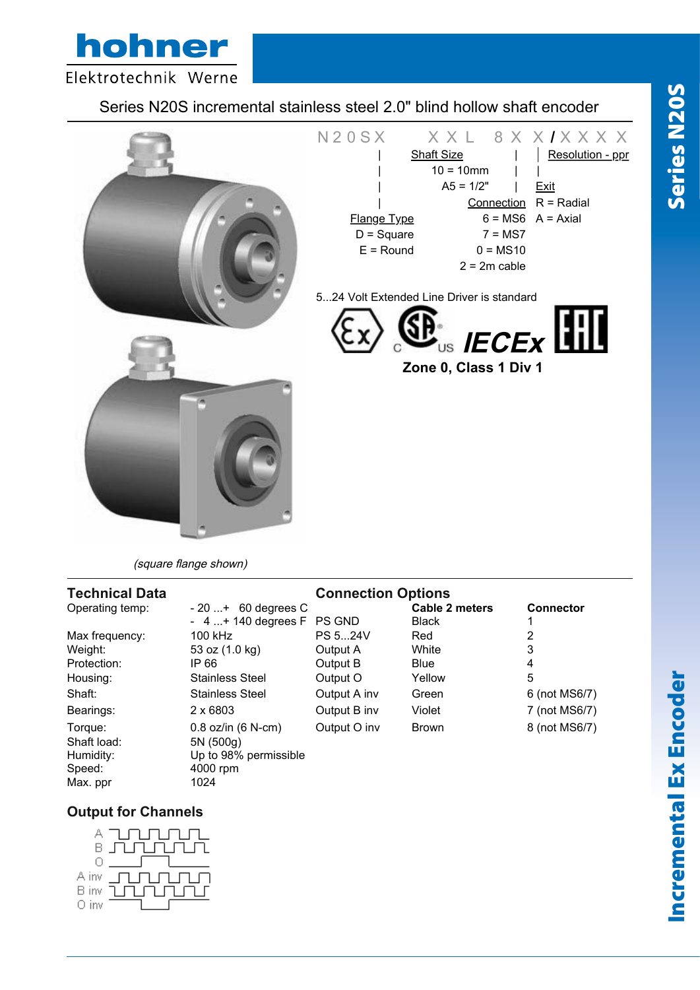hohner Elektrotechnik Werne

## Series N20S incremental stainless steel 2.0" blind hollow shaft encoder



(square flange shown)

#### **Technical Data Connection Options** Operating temp:  $-20...+60$  degrees C<br>  $-4...+140$  degrees F PS GND Black 1 - 4 ...+ 140 degrees F PS GND Black 1 Max frequency: 100 kHz PS 5...24V Red 2 Weight: 53 oz (1.0 kg) Output A White 3 Protection: IP 66 Output B Blue 4 Housing: Stainless Steel Output O Yellow 5 Shaft: Stainless Steel Output A inv Green 6 (not MS6/7) Bearings: 2 x 6803 Output B inv Violet 7 (not MS6/7) Torque: 0.8 oz/in (6 N-cm) Output O inv Brown 8 (not MS6/7) Shaft load: 5N (500g) Humidity: Up to 98% permissible Speed: 4000 rpm Max. ppr 1024

## **Output for Channels**



Series N20S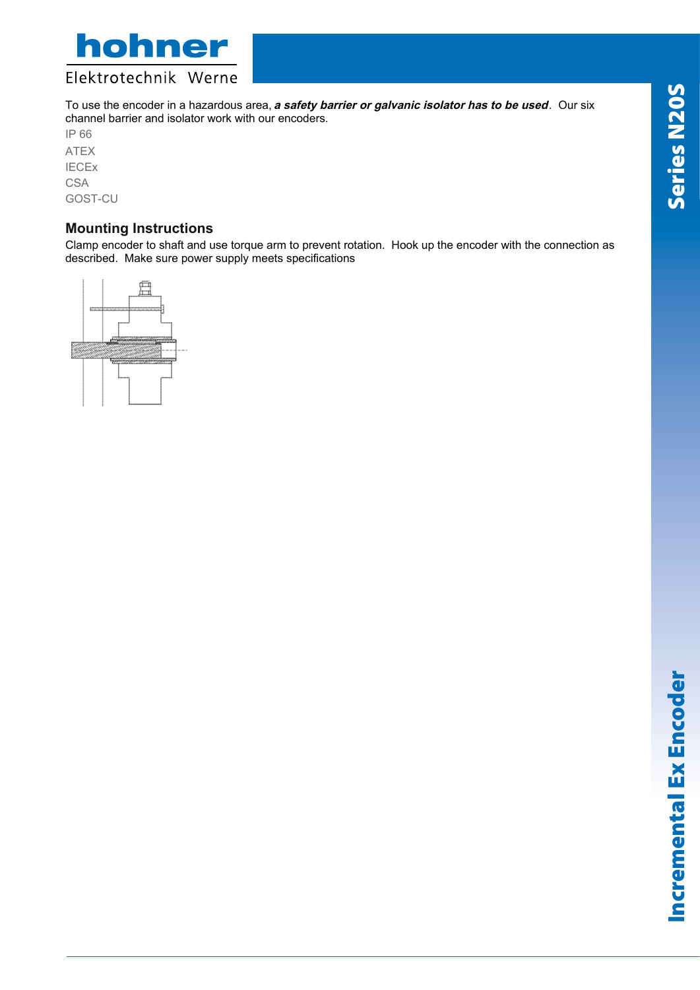



To use the encoder in a hazardous area, **<sup>a</sup> safety barrier or galvanic isolator has to be used**. Our six channel barrier and isolator work with our encoders.

IP 66 ATEX IECEx **CSA** GOST-CU

### **Mounting Instructions**

Clamp encoder to shaft and use torque arm to prevent rotation. Hook up the encoder with the connection as described. Make sure power supply meets specifications